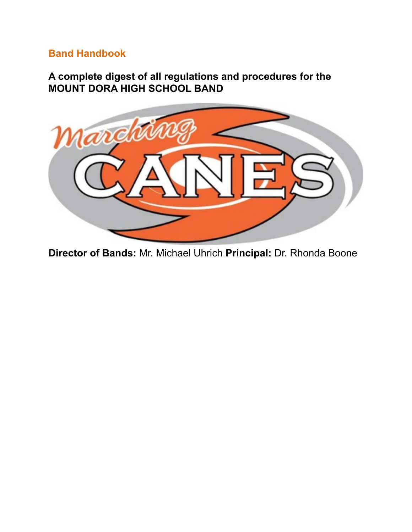# **Band Handbook**

**A complete digest of all regulations and procedures for the MOUNT DORA HIGH SCHOOL BAND** 



**Director of Bands:** Mr. Michael Uhrich **Principal:** Dr. Rhonda Boone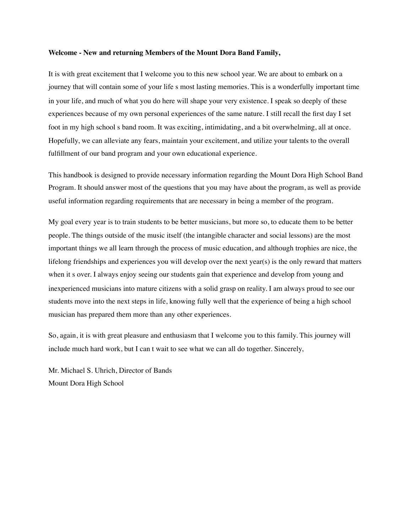#### **Welcome - New and returning Members of the Mount Dora Band Family,**

It is with great excitement that I welcome you to this new school year. We are about to embark on a journey that will contain some of your life s most lasting memories. This is a wonderfully important time in your life, and much of what you do here will shape your very existence. I speak so deeply of these experiences because of my own personal experiences of the same nature. I still recall the first day I set foot in my high school s band room. It was exciting, intimidating, and a bit overwhelming, all at once. Hopefully, we can alleviate any fears, maintain your excitement, and utilize your talents to the overall fulfillment of our band program and your own educational experience.

This handbook is designed to provide necessary information regarding the Mount Dora High School Band Program. It should answer most of the questions that you may have about the program, as well as provide useful information regarding requirements that are necessary in being a member of the program.

My goal every year is to train students to be better musicians, but more so, to educate them to be better people. The things outside of the music itself (the intangible character and social lessons) are the most important things we all learn through the process of music education, and although trophies are nice, the lifelong friendships and experiences you will develop over the next year(s) is the only reward that matters when it s over. I always enjoy seeing our students gain that experience and develop from young and inexperienced musicians into mature citizens with a solid grasp on reality. I am always proud to see our students move into the next steps in life, knowing fully well that the experience of being a high school musician has prepared them more than any other experiences.

So, again, it is with great pleasure and enthusiasm that I welcome you to this family. This journey will include much hard work, but I can t wait to see what we can all do together. Sincerely,

Mr. Michael S. Uhrich, Director of Bands Mount Dora High School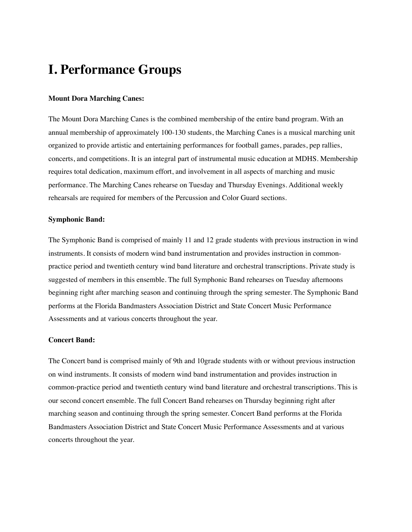# **I. Performance Groups**

### **Mount Dora Marching Canes:**

The Mount Dora Marching Canes is the combined membership of the entire band program. With an annual membership of approximately 100-130 students, the Marching Canes is a musical marching unit organized to provide artistic and entertaining performances for football games, parades, pep rallies, concerts, and competitions. It is an integral part of instrumental music education at MDHS. Membership requires total dedication, maximum effort, and involvement in all aspects of marching and music performance. The Marching Canes rehearse on Tuesday and Thursday Evenings. Additional weekly rehearsals are required for members of the Percussion and Color Guard sections.

#### **Symphonic Band:**

The Symphonic Band is comprised of mainly 11 and 12 grade students with previous instruction in wind instruments. It consists of modern wind band instrumentation and provides instruction in commonpractice period and twentieth century wind band literature and orchestral transcriptions. Private study is suggested of members in this ensemble. The full Symphonic Band rehearses on Tuesday afternoons beginning right after marching season and continuing through the spring semester. The Symphonic Band performs at the Florida Bandmasters Association District and State Concert Music Performance Assessments and at various concerts throughout the year.

#### **Concert Band:**

The Concert band is comprised mainly of 9th and 10grade students with or without previous instruction on wind instruments. It consists of modern wind band instrumentation and provides instruction in common-practice period and twentieth century wind band literature and orchestral transcriptions. This is our second concert ensemble. The full Concert Band rehearses on Thursday beginning right after marching season and continuing through the spring semester. Concert Band performs at the Florida Bandmasters Association District and State Concert Music Performance Assessments and at various concerts throughout the year.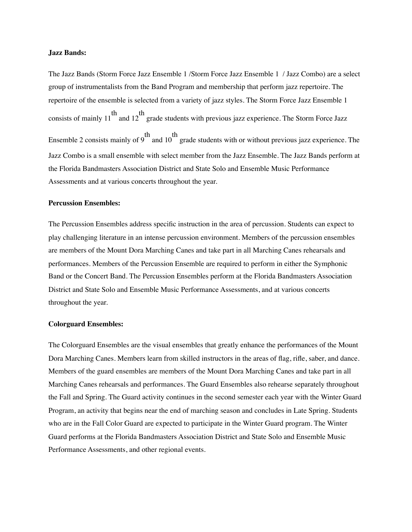#### **Jazz Bands:**

The Jazz Bands (Storm Force Jazz Ensemble 1 /Storm Force Jazz Ensemble 1 / Jazz Combo) are a select group of instrumentalists from the Band Program and membership that perform jazz repertoire. The repertoire of the ensemble is selected from a variety of jazz styles. The Storm Force Jazz Ensemble 1 consists of mainly 11 th and 12 th grade students with previous jazz experience. The Storm Force Jazz Ensemble 2 consists mainly of 9 th and 10 th grade students with or without previous jazz experience. The Jazz Combo is a small ensemble with select member from the Jazz Ensemble. The Jazz Bands perform at the Florida Bandmasters Association District and State Solo and Ensemble Music Performance Assessments and at various concerts throughout the year.

# **Percussion Ensembles:**

The Percussion Ensembles address specific instruction in the area of percussion. Students can expect to play challenging literature in an intense percussion environment. Members of the percussion ensembles are members of the Mount Dora Marching Canes and take part in all Marching Canes rehearsals and performances. Members of the Percussion Ensemble are required to perform in either the Symphonic Band or the Concert Band. The Percussion Ensembles perform at the Florida Bandmasters Association District and State Solo and Ensemble Music Performance Assessments, and at various concerts throughout the year.

#### **Colorguard Ensembles:**

The Colorguard Ensembles are the visual ensembles that greatly enhance the performances of the Mount Dora Marching Canes. Members learn from skilled instructors in the areas of flag, rifle, saber, and dance. Members of the guard ensembles are members of the Mount Dora Marching Canes and take part in all Marching Canes rehearsals and performances. The Guard Ensembles also rehearse separately throughout the Fall and Spring. The Guard activity continues in the second semester each year with the Winter Guard Program, an activity that begins near the end of marching season and concludes in Late Spring. Students who are in the Fall Color Guard are expected to participate in the Winter Guard program. The Winter Guard performs at the Florida Bandmasters Association District and State Solo and Ensemble Music Performance Assessments, and other regional events.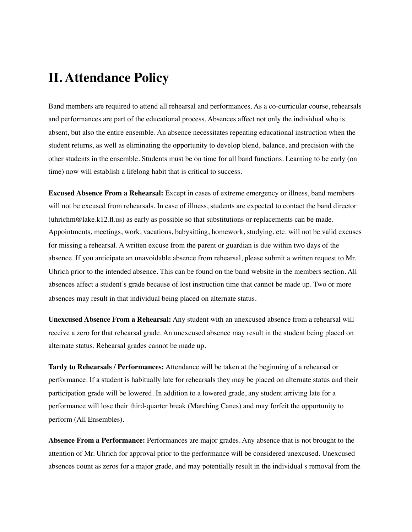# **II. Attendance Policy**

Band members are required to attend all rehearsal and performances. As a co-curricular course, rehearsals and performances are part of the educational process. Absences affect not only the individual who is absent, but also the entire ensemble. An absence necessitates repeating educational instruction when the student returns, as well as eliminating the opportunity to develop blend, balance, and precision with the other students in the ensemble. Students must be on time for all band functions. Learning to be early (on time) now will establish a lifelong habit that is critical to success.

**Excused Absence From a Rehearsal:** Except in cases of extreme emergency or illness, band members will not be excused from rehearsals. In case of illness, students are expected to contact the band director (uhrichm@lake.k12.fl.us) as early as possible so that substitutions or replacements can be made. Appointments, meetings, work, vacations, babysitting, homework, studying, etc. will not be valid excuses for missing a rehearsal. A written excuse from the parent or guardian is due within two days of the absence. If you anticipate an unavoidable absence from rehearsal, please submit a written request to Mr. Uhrich prior to the intended absence. This can be found on the band website in the members section. All absences affect a student's grade because of lost instruction time that cannot be made up. Two or more absences may result in that individual being placed on alternate status.

**Unexcused Absence From a Rehearsal:** Any student with an unexcused absence from a rehearsal will receive a zero for that rehearsal grade. An unexcused absence may result in the student being placed on alternate status. Rehearsal grades cannot be made up.

**Tardy to Rehearsals / Performances:** Attendance will be taken at the beginning of a rehearsal or performance. If a student is habitually late for rehearsals they may be placed on alternate status and their participation grade will be lowered. In addition to a lowered grade, any student arriving late for a performance will lose their third-quarter break (Marching Canes) and may forfeit the opportunity to perform (All Ensembles).

**Absence From a Performance:** Performances are major grades. Any absence that is not brought to the attention of Mr. Uhrich for approval prior to the performance will be considered unexcused. Unexcused absences count as zeros for a major grade, and may potentially result in the individual s removal from the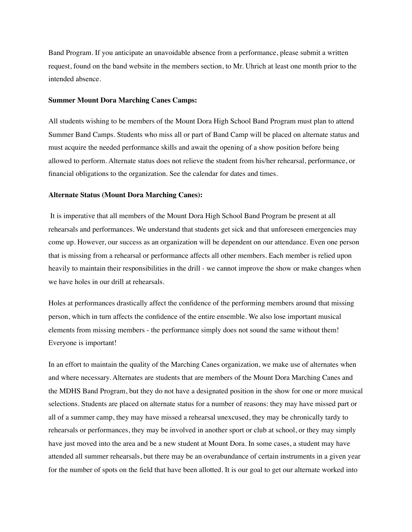Band Program. If you anticipate an unavoidable absence from a performance, please submit a written request, found on the band website in the members section, to Mr. Uhrich at least one month prior to the intended absence.

#### **Summer Mount Dora Marching Canes Camps:**

All students wishing to be members of the Mount Dora High School Band Program must plan to attend Summer Band Camps. Students who miss all or part of Band Camp will be placed on alternate status and must acquire the needed performance skills and await the opening of a show position before being allowed to perform. Alternate status does not relieve the student from his/her rehearsal, performance, or financial obligations to the organization. See the calendar for dates and times.

#### **Alternate Status (Mount Dora Marching Canes):**

 It is imperative that all members of the Mount Dora High School Band Program be present at all rehearsals and performances. We understand that students get sick and that unforeseen emergencies may come up. However, our success as an organization will be dependent on our attendance. Even one person that is missing from a rehearsal or performance affects all other members. Each member is relied upon heavily to maintain their responsibilities in the drill - we cannot improve the show or make changes when we have holes in our drill at rehearsals.

Holes at performances drastically affect the confidence of the performing members around that missing person, which in turn affects the confidence of the entire ensemble. We also lose important musical elements from missing members - the performance simply does not sound the same without them! Everyone is important!

In an effort to maintain the quality of the Marching Canes organization, we make use of alternates when and where necessary. Alternates are students that are members of the Mount Dora Marching Canes and the MDHS Band Program, but they do not have a designated position in the show for one or more musical selections. Students are placed on alternate status for a number of reasons: they may have missed part or all of a summer camp, they may have missed a rehearsal unexcused, they may be chronically tardy to rehearsals or performances, they may be involved in another sport or club at school, or they may simply have just moved into the area and be a new student at Mount Dora. In some cases, a student may have attended all summer rehearsals, but there may be an overabundance of certain instruments in a given year for the number of spots on the field that have been allotted. It is our goal to get our alternate worked into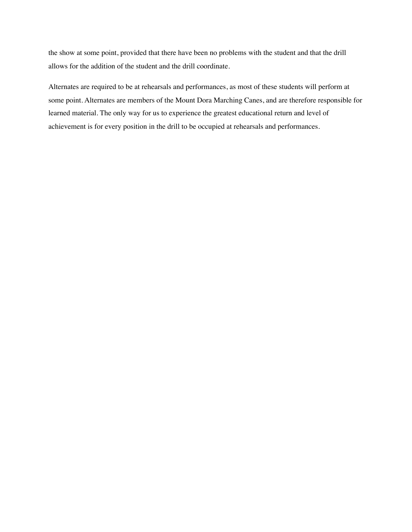the show at some point, provided that there have been no problems with the student and that the drill allows for the addition of the student and the drill coordinate.

Alternates are required to be at rehearsals and performances, as most of these students will perform at some point. Alternates are members of the Mount Dora Marching Canes, and are therefore responsible for learned material. The only way for us to experience the greatest educational return and level of achievement is for every position in the drill to be occupied at rehearsals and performances.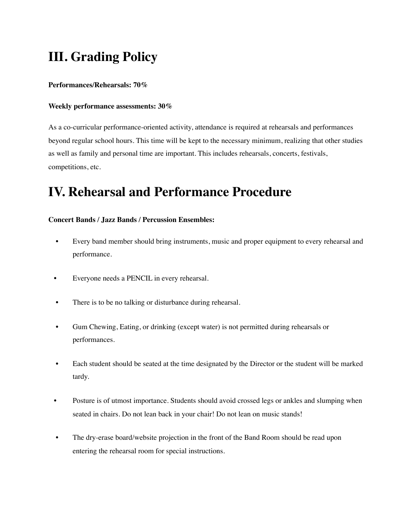# **III. Grading Policy**

**Performances/Rehearsals: 70%** 

# **Weekly performance assessments: 30%**

As a co-curricular performance-oriented activity, attendance is required at rehearsals and performances beyond regular school hours. This time will be kept to the necessary minimum, realizing that other studies as well as family and personal time are important. This includes rehearsals, concerts, festivals, competitions, etc.

# **IV. Rehearsal and Performance Procedure**

# **Concert Bands / Jazz Bands / Percussion Ensembles:**

- Every band member should bring instruments, music and proper equipment to every rehearsal and performance.
- Everyone needs a PENCIL in every rehearsal.
- There is to be no talking or disturbance during rehearsal.
- Gum Chewing, Eating, or drinking (except water) is not permitted during rehearsals or performances.
- Each student should be seated at the time designated by the Director or the student will be marked tardy.
- Posture is of utmost importance. Students should avoid crossed legs or ankles and slumping when seated in chairs. Do not lean back in your chair! Do not lean on music stands!
- The dry-erase board/website projection in the front of the Band Room should be read upon entering the rehearsal room for special instructions.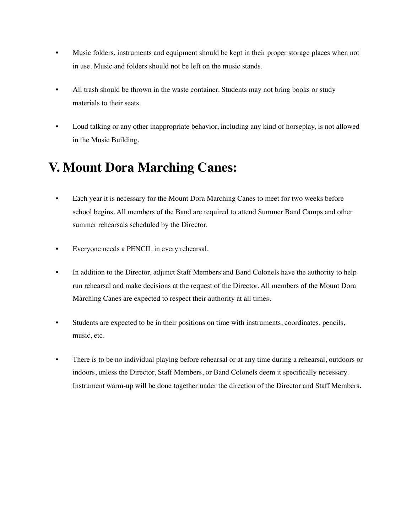- Music folders, instruments and equipment should be kept in their proper storage places when not in use. Music and folders should not be left on the music stands.
- All trash should be thrown in the waste container. Students may not bring books or study materials to their seats.
- Loud talking or any other inappropriate behavior, including any kind of horseplay, is not allowed in the Music Building.

# **V. Mount Dora Marching Canes:**

- Each year it is necessary for the Mount Dora Marching Canes to meet for two weeks before school begins. All members of the Band are required to attend Summer Band Camps and other summer rehearsals scheduled by the Director.
- Everyone needs a PENCIL in every rehearsal.
- In addition to the Director, adjunct Staff Members and Band Colonels have the authority to help run rehearsal and make decisions at the request of the Director. All members of the Mount Dora Marching Canes are expected to respect their authority at all times.
- Students are expected to be in their positions on time with instruments, coordinates, pencils, music, etc.
- There is to be no individual playing before rehearsal or at any time during a rehearsal, outdoors or indoors, unless the Director, Staff Members, or Band Colonels deem it specifically necessary. Instrument warm-up will be done together under the direction of the Director and Staff Members.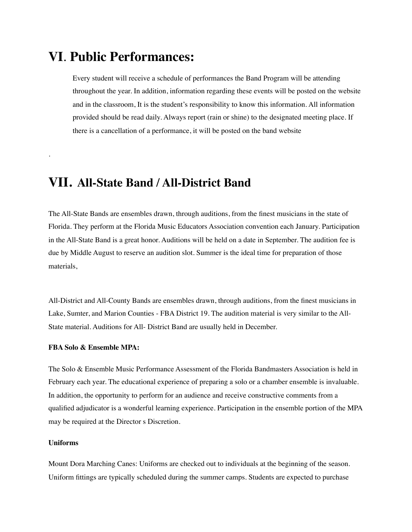# **VI**. **Public Performances:**

Every student will receive a schedule of performances the Band Program will be attending throughout the year. In addition, information regarding these events will be posted on the website and in the classroom, It is the student's responsibility to know this information. All information provided should be read daily. Always report (rain or shine) to the designated meeting place. If there is a cancellation of a performance, it will be posted on the band website

# **VII. All-State Band / All-District Band**

The All-State Bands are ensembles drawn, through auditions, from the finest musicians in the state of Florida. They perform at the Florida Music Educators Association convention each January. Participation in the All-State Band is a great honor. Auditions will be held on a date in September. The audition fee is due by Middle August to reserve an audition slot. Summer is the ideal time for preparation of those materials,

All-District and All-County Bands are ensembles drawn, through auditions, from the finest musicians in Lake, Sumter, and Marion Counties - FBA District 19. The audition material is very similar to the All-State material. Auditions for All- District Band are usually held in December.

## **FBA Solo & Ensemble MPA:**

The Solo & Ensemble Music Performance Assessment of the Florida Bandmasters Association is held in February each year. The educational experience of preparing a solo or a chamber ensemble is invaluable. In addition, the opportunity to perform for an audience and receive constructive comments from a qualified adjudicator is a wonderful learning experience. Participation in the ensemble portion of the MPA may be required at the Director s Discretion.

# **Uniforms**

.

Mount Dora Marching Canes: Uniforms are checked out to individuals at the beginning of the season. Uniform fittings are typically scheduled during the summer camps. Students are expected to purchase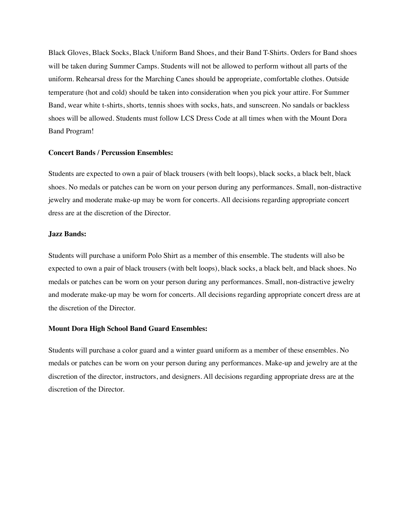Black Gloves, Black Socks, Black Uniform Band Shoes, and their Band T-Shirts. Orders for Band shoes will be taken during Summer Camps. Students will not be allowed to perform without all parts of the uniform. Rehearsal dress for the Marching Canes should be appropriate, comfortable clothes. Outside temperature (hot and cold) should be taken into consideration when you pick your attire. For Summer Band, wear white t-shirts, shorts, tennis shoes with socks, hats, and sunscreen. No sandals or backless shoes will be allowed. Students must follow LCS Dress Code at all times when with the Mount Dora Band Program!

#### **Concert Bands / Percussion Ensembles:**

Students are expected to own a pair of black trousers (with belt loops), black socks, a black belt, black shoes. No medals or patches can be worn on your person during any performances. Small, non-distractive jewelry and moderate make-up may be worn for concerts. All decisions regarding appropriate concert dress are at the discretion of the Director.

#### **Jazz Bands:**

Students will purchase a uniform Polo Shirt as a member of this ensemble. The students will also be expected to own a pair of black trousers (with belt loops), black socks, a black belt, and black shoes. No medals or patches can be worn on your person during any performances. Small, non-distractive jewelry and moderate make-up may be worn for concerts. All decisions regarding appropriate concert dress are at the discretion of the Director.

## **Mount Dora High School Band Guard Ensembles:**

Students will purchase a color guard and a winter guard uniform as a member of these ensembles. No medals or patches can be worn on your person during any performances. Make-up and jewelry are at the discretion of the director, instructors, and designers. All decisions regarding appropriate dress are at the discretion of the Director.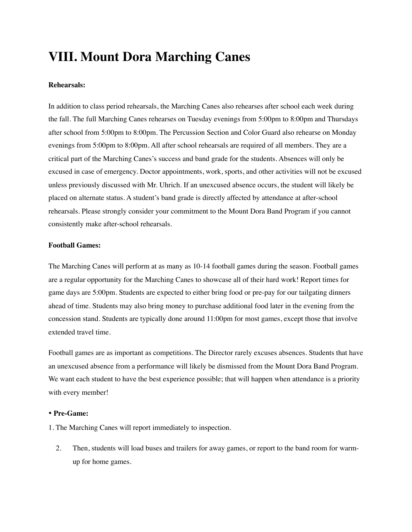# **VIII. Mount Dora Marching Canes**

# **Rehearsals:**

In addition to class period rehearsals, the Marching Canes also rehearses after school each week during the fall. The full Marching Canes rehearses on Tuesday evenings from 5:00pm to 8:00pm and Thursdays after school from 5:00pm to 8:00pm. The Percussion Section and Color Guard also rehearse on Monday evenings from 5:00pm to 8:00pm. All after school rehearsals are required of all members. They are a critical part of the Marching Canes's success and band grade for the students. Absences will only be excused in case of emergency. Doctor appointments, work, sports, and other activities will not be excused unless previously discussed with Mr. Uhrich. If an unexcused absence occurs, the student will likely be placed on alternate status. A student's band grade is directly affected by attendance at after-school rehearsals. Please strongly consider your commitment to the Mount Dora Band Program if you cannot consistently make after-school rehearsals.

# **Football Games:**

The Marching Canes will perform at as many as 10-14 football games during the season. Football games are a regular opportunity for the Marching Canes to showcase all of their hard work! Report times for game days are 5:00pm. Students are expected to either bring food or pre-pay for our tailgating dinners ahead of time. Students may also bring money to purchase additional food later in the evening from the concession stand. Students are typically done around 11:00pm for most games, except those that involve extended travel time.

Football games are as important as competitions. The Director rarely excuses absences. Students that have an unexcused absence from a performance will likely be dismissed from the Mount Dora Band Program. We want each student to have the best experience possible; that will happen when attendance is a priority with every member!

#### • **Pre-Game:**

1. The Marching Canes will report immediately to inspection.

2. Then, students will load buses and trailers for away games, or report to the band room for warmup for home games.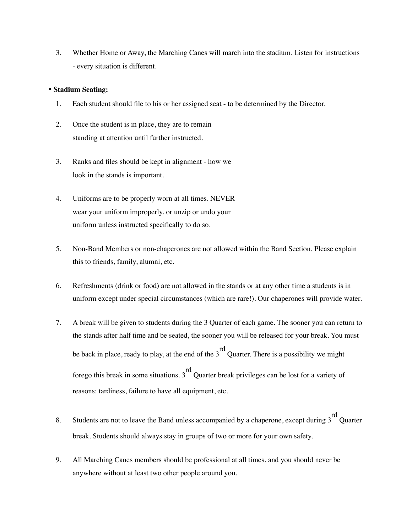3. Whether Home or Away, the Marching Canes will march into the stadium. Listen for instructions - every situation is different.

### • **Stadium Seating:**

- 1. Each student should file to his or her assigned seat to be determined by the Director.
- 2. Once the student is in place, they are to remain standing at attention until further instructed.
- 3. Ranks and files should be kept in alignment how we look in the stands is important.
- 4. Uniforms are to be properly worn at all times. NEVER wear your uniform improperly, or unzip or undo your uniform unless instructed specifically to do so.
- 5. Non-Band Members or non-chaperones are not allowed within the Band Section. Please explain this to friends, family, alumni, etc.
- 6. Refreshments (drink or food) are not allowed in the stands or at any other time a students is in uniform except under special circumstances (which are rare!). Our chaperones will provide water.
- 7. A break will be given to students during the 3 Quarter of each game. The sooner you can return to the stands after half time and be seated, the sooner you will be released for your break. You must be back in place, ready to play, at the end of the 3 rd Quarter. There is a possibility we might forego this break in some situations. 3 rd Quarter break privileges can be lost for a variety of reasons: tardiness, failure to have all equipment, etc.
- 8. Students are not to leave the Band unless accompanied by a chaperone, except during 3 rd Quarter break. Students should always stay in groups of two or more for your own safety.
- 9. All Marching Canes members should be professional at all times, and you should never be anywhere without at least two other people around you.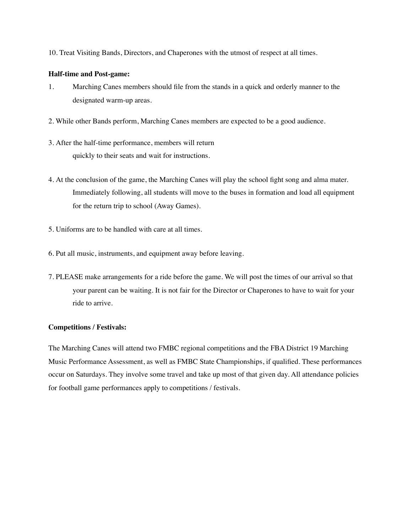10. Treat Visiting Bands, Directors, and Chaperones with the utmost of respect at all times.

### **Half-time and Post-game:**

- 1. Marching Canes members should file from the stands in a quick and orderly manner to the designated warm-up areas.
- 2. While other Bands perform, Marching Canes members are expected to be a good audience.
- 3. After the half-time performance, members will return quickly to their seats and wait for instructions.
- 4. At the conclusion of the game, the Marching Canes will play the school fight song and alma mater. Immediately following, all students will move to the buses in formation and load all equipment for the return trip to school (Away Games).
- 5. Uniforms are to be handled with care at all times.
- 6. Put all music, instruments, and equipment away before leaving.
- 7. PLEASE make arrangements for a ride before the game. We will post the times of our arrival so that your parent can be waiting. It is not fair for the Director or Chaperones to have to wait for your ride to arrive.

# **Competitions / Festivals:**

The Marching Canes will attend two FMBC regional competitions and the FBA District 19 Marching Music Performance Assessment, as well as FMBC State Championships, if qualified. These performances occur on Saturdays. They involve some travel and take up most of that given day. All attendance policies for football game performances apply to competitions / festivals.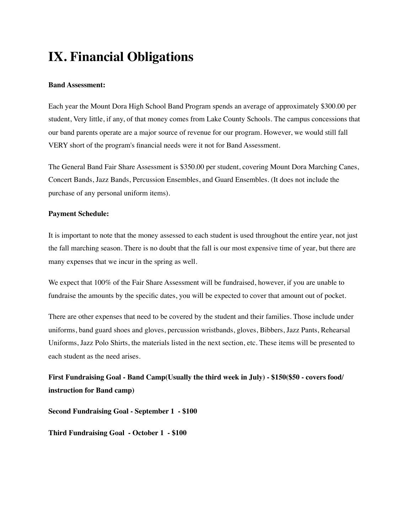# **IX. Financial Obligations**

### **Band Assessment:**

Each year the Mount Dora High School Band Program spends an average of approximately \$300.00 per student, Very little, if any, of that money comes from Lake County Schools. The campus concessions that our band parents operate are a major source of revenue for our program. However, we would still fall VERY short of the program's financial needs were it not for Band Assessment.

The General Band Fair Share Assessment is \$350.00 per student, covering Mount Dora Marching Canes, Concert Bands, Jazz Bands, Percussion Ensembles, and Guard Ensembles. (It does not include the purchase of any personal uniform items).

## **Payment Schedule:**

It is important to note that the money assessed to each student is used throughout the entire year, not just the fall marching season. There is no doubt that the fall is our most expensive time of year, but there are many expenses that we incur in the spring as well.

We expect that 100% of the Fair Share Assessment will be fundraised, however, if you are unable to fundraise the amounts by the specific dates, you will be expected to cover that amount out of pocket.

There are other expenses that need to be covered by the student and their families. Those include under uniforms, band guard shoes and gloves, percussion wristbands, gloves, Bibbers, Jazz Pants, Rehearsal Uniforms, Jazz Polo Shirts, the materials listed in the next section, etc. These items will be presented to each student as the need arises.

**First Fundraising Goal - Band Camp(Usually the third week in July) - \$150(\$50 - covers food/ instruction for Band camp)**

**Second Fundraising Goal - September 1 - \$100**

**Third Fundraising Goal - October 1 - \$100**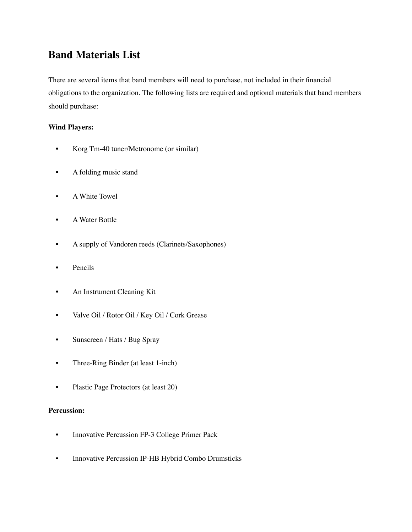# **Band Materials List**

There are several items that band members will need to purchase, not included in their financial obligations to the organization. The following lists are required and optional materials that band members should purchase:

# **Wind Players:**

- Korg Tm-40 tuner/Metronome (or similar)
- A folding music stand
- A White Towel
- A Water Bottle
- A supply of Vandoren reeds (Clarinets/Saxophones)
- Pencils
- An Instrument Cleaning Kit
- Valve Oil / Rotor Oil / Key Oil / Cork Grease
- Sunscreen / Hats / Bug Spray
- Three-Ring Binder (at least 1-inch)
- Plastic Page Protectors (at least 20)

# **Percussion:**

- Innovative Percussion FP-3 College Primer Pack
- Innovative Percussion IP-HB Hybrid Combo Drumsticks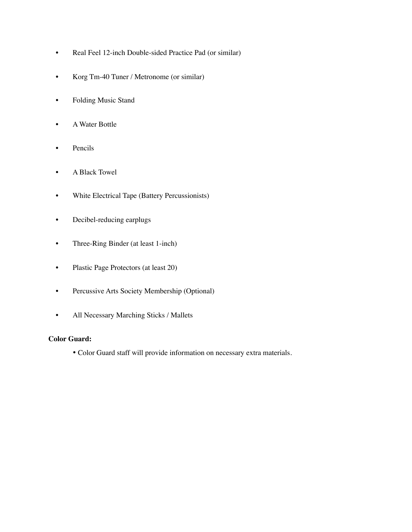- Real Feel 12-inch Double-sided Practice Pad (or similar)
- Korg Tm-40 Tuner / Metronome (or similar)
- Folding Music Stand
- A Water Bottle
- Pencils
- A Black Towel
- White Electrical Tape (Battery Percussionists)
- Decibel-reducing earplugs
- Three-Ring Binder (at least 1-inch)
- Plastic Page Protectors (at least 20)
- Percussive Arts Society Membership (Optional)
- All Necessary Marching Sticks / Mallets

# **Color Guard:**

• Color Guard staff will provide information on necessary extra materials.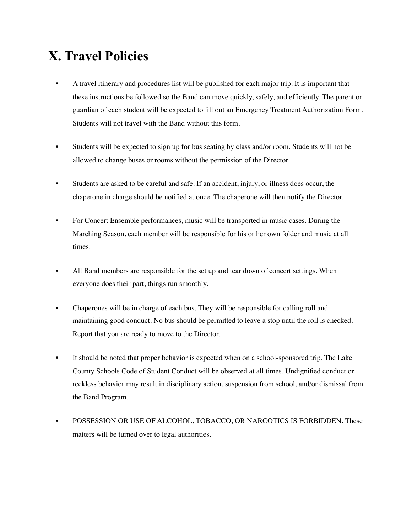# **X. Travel Policies**

- A travel itinerary and procedures list will be published for each major trip. It is important that these instructions be followed so the Band can move quickly, safely, and efficiently. The parent or guardian of each student will be expected to fill out an Emergency Treatment Authorization Form. Students will not travel with the Band without this form.
- Students will be expected to sign up for bus seating by class and/or room. Students will not be allowed to change buses or rooms without the permission of the Director.
- Students are asked to be careful and safe. If an accident, injury, or illness does occur, the chaperone in charge should be notified at once. The chaperone will then notify the Director.
- For Concert Ensemble performances, music will be transported in music cases. During the Marching Season, each member will be responsible for his or her own folder and music at all times.
- All Band members are responsible for the set up and tear down of concert settings. When everyone does their part, things run smoothly.
- Chaperones will be in charge of each bus. They will be responsible for calling roll and maintaining good conduct. No bus should be permitted to leave a stop until the roll is checked. Report that you are ready to move to the Director.
- It should be noted that proper behavior is expected when on a school-sponsored trip. The Lake County Schools Code of Student Conduct will be observed at all times. Undignified conduct or reckless behavior may result in disciplinary action, suspension from school, and/or dismissal from the Band Program.
- POSSESSION OR USE OF ALCOHOL, TOBACCO, OR NARCOTICS IS FORBIDDEN. These matters will be turned over to legal authorities.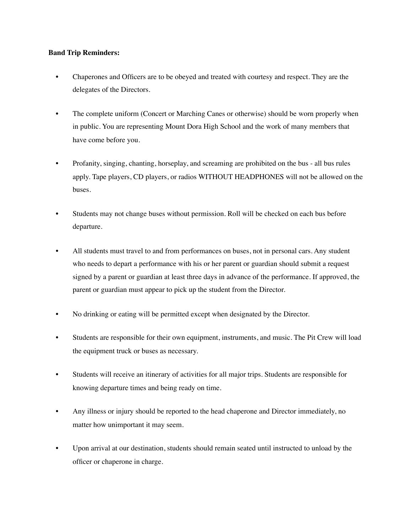## **Band Trip Reminders:**

- Chaperones and Officers are to be obeyed and treated with courtesy and respect. They are the delegates of the Directors.
- The complete uniform (Concert or Marching Canes or otherwise) should be worn properly when in public. You are representing Mount Dora High School and the work of many members that have come before you.
- Profanity, singing, chanting, horseplay, and screaming are prohibited on the bus all bus rules apply. Tape players, CD players, or radios WITHOUT HEADPHONES will not be allowed on the buses.
- Students may not change buses without permission. Roll will be checked on each bus before departure.
- All students must travel to and from performances on buses, not in personal cars. Any student who needs to depart a performance with his or her parent or guardian should submit a request signed by a parent or guardian at least three days in advance of the performance. If approved, the parent or guardian must appear to pick up the student from the Director.
- No drinking or eating will be permitted except when designated by the Director.
- Students are responsible for their own equipment, instruments, and music. The Pit Crew will load the equipment truck or buses as necessary.
- Students will receive an itinerary of activities for all major trips. Students are responsible for knowing departure times and being ready on time.
- Any illness or injury should be reported to the head chaperone and Director immediately, no matter how unimportant it may seem.
- Upon arrival at our destination, students should remain seated until instructed to unload by the officer or chaperone in charge.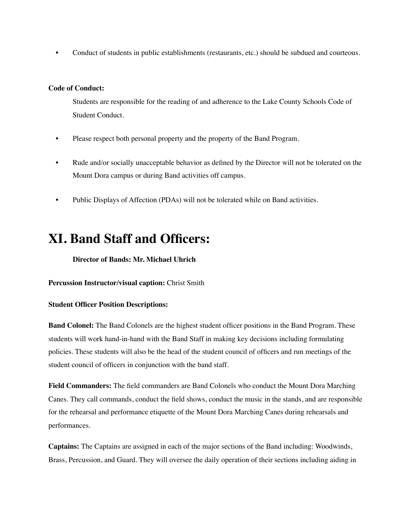• Conduct of students in public establishments (restaurants, etc.) should be subdued and courteous.

## **Code of Conduct:**

Students are responsible for the reading of and adherence to the Lake County Schools Code of Student Conduct.

- Please respect both personal property and the property of the Band Program.
- Rude and/or socially unacceptable behavior as defined by the Director will not be tolerated on the Mount Dora campus or during Band activities off campus.
- Public Displays of Affection (PDAs) will not be tolerated while on Band activities.

# **XI. Band Staff and Officers:**

## **Director of Bands: Mr. Michael Uhrich**

**Percussion Instructor/visual caption:** Christ Smith

### **Student Officer Position Descriptions:**

**Band Colonel:** The Band Colonels are the highest student officer positions in the Band Program. These students will work hand-in-hand with the Band Staff in making key decisions including formulating policies. These students will also be the head of the student council of officers and run meetings of the student council of officers in conjunction with the band staff.

**Field Commanders:** The field commanders are Band Colonels who conduct the Mount Dora Marching Canes. They call commands, conduct the field shows, conduct the music in the stands, and are responsible for the rehearsal and performance etiquette of the Mount Dora Marching Canes during rehearsals and performances.

**Captains:** The Captains are assigned in each of the major sections of the Band including: Woodwinds, Brass, Percussion, and Guard. They will oversee the daily operation of their sections including aiding in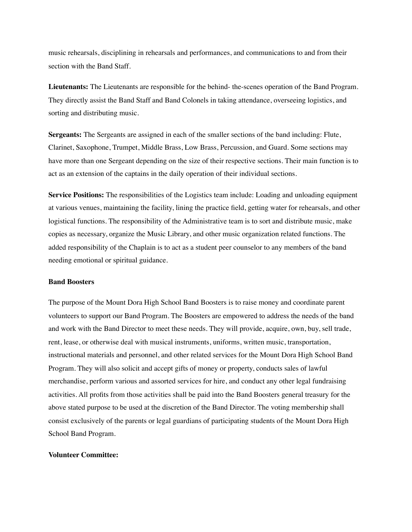music rehearsals, disciplining in rehearsals and performances, and communications to and from their section with the Band Staff.

**Lieutenants:** The Lieutenants are responsible for the behind- the-scenes operation of the Band Program. They directly assist the Band Staff and Band Colonels in taking attendance, overseeing logistics, and sorting and distributing music.

**Sergeants:** The Sergeants are assigned in each of the smaller sections of the band including: Flute, Clarinet, Saxophone, Trumpet, Middle Brass, Low Brass, Percussion, and Guard. Some sections may have more than one Sergeant depending on the size of their respective sections. Their main function is to act as an extension of the captains in the daily operation of their individual sections.

**Service Positions:** The responsibilities of the Logistics team include: Loading and unloading equipment at various venues, maintaining the facility, lining the practice field, getting water for rehearsals, and other logistical functions. The responsibility of the Administrative team is to sort and distribute music, make copies as necessary, organize the Music Library, and other music organization related functions. The added responsibility of the Chaplain is to act as a student peer counselor to any members of the band needing emotional or spiritual guidance.

#### **Band Boosters**

The purpose of the Mount Dora High School Band Boosters is to raise money and coordinate parent volunteers to support our Band Program. The Boosters are empowered to address the needs of the band and work with the Band Director to meet these needs. They will provide, acquire, own, buy, sell trade, rent, lease, or otherwise deal with musical instruments, uniforms, written music, transportation, instructional materials and personnel, and other related services for the Mount Dora High School Band Program. They will also solicit and accept gifts of money or property, conducts sales of lawful merchandise, perform various and assorted services for hire, and conduct any other legal fundraising activities. All profits from those activities shall be paid into the Band Boosters general treasury for the above stated purpose to be used at the discretion of the Band Director. The voting membership shall consist exclusively of the parents or legal guardians of participating students of the Mount Dora High School Band Program.

### **Volunteer Committee:**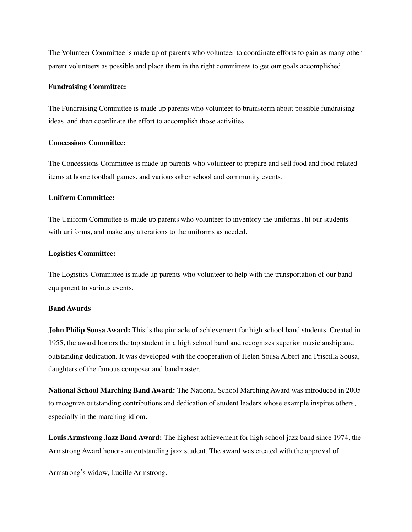The Volunteer Committee is made up of parents who volunteer to coordinate efforts to gain as many other parent volunteers as possible and place them in the right committees to get our goals accomplished.

#### **Fundraising Committee:**

The Fundraising Committee is made up parents who volunteer to brainstorm about possible fundraising ideas, and then coordinate the effort to accomplish those activities.

#### **Concessions Committee:**

The Concessions Committee is made up parents who volunteer to prepare and sell food and food-related items at home football games, and various other school and community events.

#### **Uniform Committee:**

The Uniform Committee is made up parents who volunteer to inventory the uniforms, fit our students with uniforms, and make any alterations to the uniforms as needed.

#### **Logistics Committee:**

The Logistics Committee is made up parents who volunteer to help with the transportation of our band equipment to various events.

#### **Band Awards**

**John Philip Sousa Award:** This is the pinnacle of achievement for high school band students. Created in 1955, the award honors the top student in a high school band and recognizes superior musicianship and outstanding dedication. It was developed with the cooperation of Helen Sousa Albert and Priscilla Sousa, daughters of the famous composer and bandmaster.

**National School Marching Band Award:** The National School Marching Award was introduced in 2005 to recognize outstanding contributions and dedication of student leaders whose example inspires others, especially in the marching idiom.

**Louis Armstrong Jazz Band Award:** The highest achievement for high school jazz band since 1974, the Armstrong Award honors an outstanding jazz student. The award was created with the approval of

Armstrong's widow, Lucille Armstrong,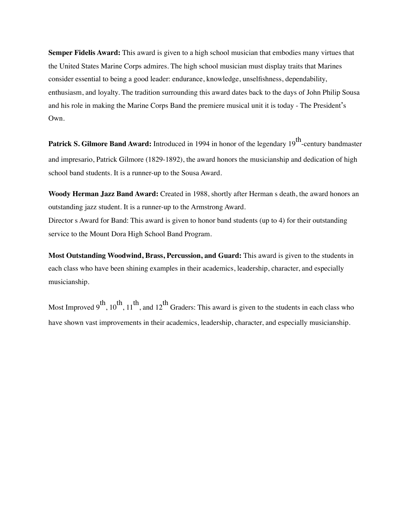**Semper Fidelis Award:** This award is given to a high school musician that embodies many virtues that the United States Marine Corps admires. The high school musician must display traits that Marines consider essential to being a good leader: endurance, knowledge, unselfishness, dependability, enthusiasm, and loyalty. The tradition surrounding this award dates back to the days of John Philip Sousa and his role in making the Marine Corps Band the premiere musical unit it is today - The President's Own.

Patrick S. Gilmore Band Award: Introduced in 1994 in honor of the legendary 19<sup>th</sup>-century bandmaster and impresario, Patrick Gilmore (1829-1892), the award honors the musicianship and dedication of high school band students. It is a runner-up to the Sousa Award.

**Woody Herman Jazz Band Award:** Created in 1988, shortly after Herman s death, the award honors an outstanding jazz student. It is a runner-up to the Armstrong Award. Director s Award for Band: This award is given to honor band students (up to 4) for their outstanding service to the Mount Dora High School Band Program.

**Most Outstanding Woodwind, Brass, Percussion, and Guard:** This award is given to the students in each class who have been shining examples in their academics, leadership, character, and especially musicianship.

Most Improved  $9^{th}$ ,  $10^{th}$ ,  $11^{th}$ , and  $12^{th}$  Graders: This award is given to the students in each class who have shown vast improvements in their academics, leadership, character, and especially musicianship.